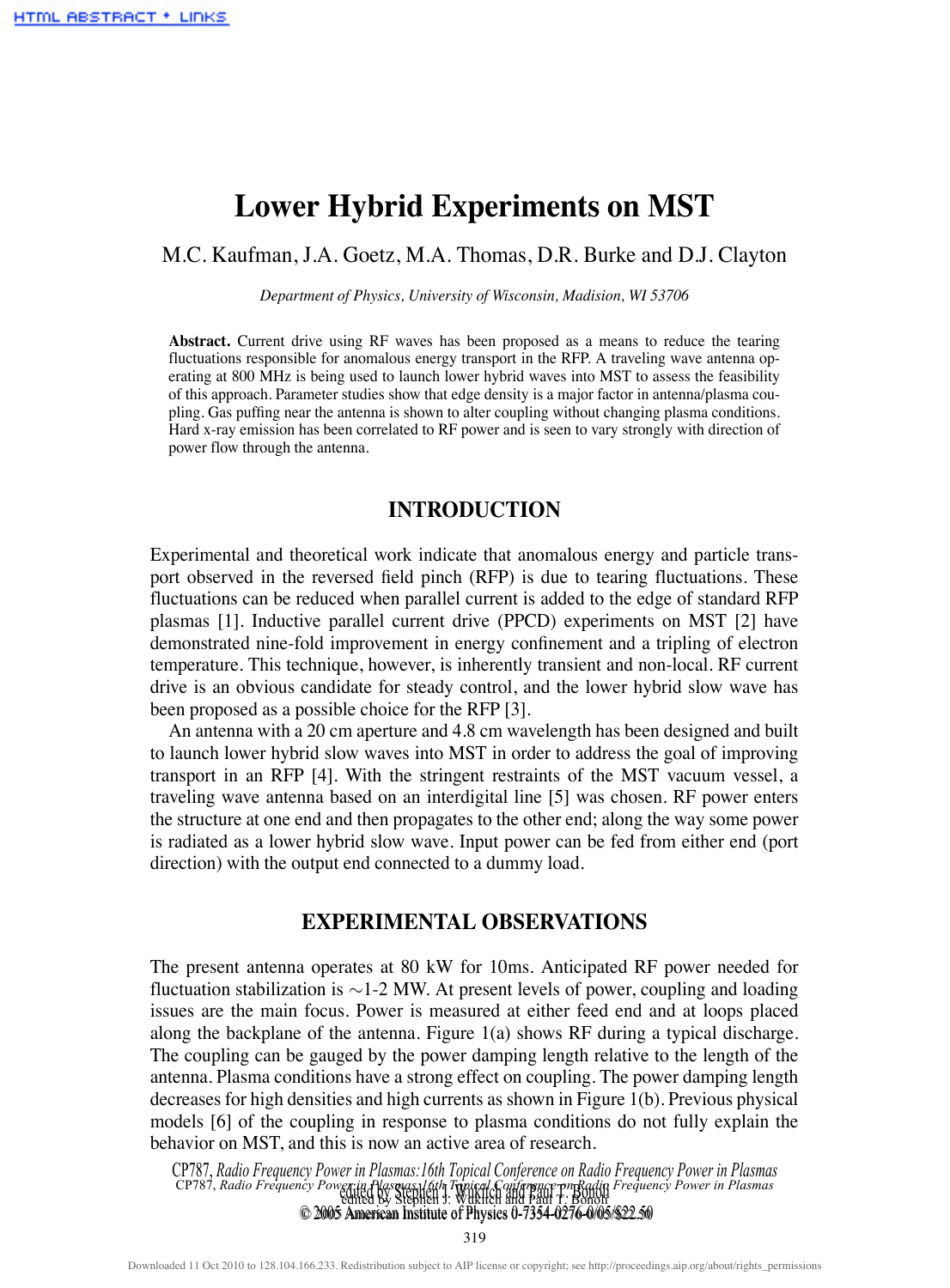# **Lower Hybrid Experiments on MST**

## M.C. Kaufman, J.A. Goetz, M.A. Thomas, D.R. Burke and D.J. Clayton

*Department of Physics, University of Wisconsin, Madision, WI 53706*

Abstract. Current drive using RF waves has been proposed as a means to reduce the tearing fluctuations responsible for anomalous energy transport in the RFP. A traveling wave antenna operating at 800 MHz is being used to launch lower hybrid waves into MST to assess the feasibility of this approach. Parameter studies show that edge density is a major factor in antenna/plasma coupling. Gas puffing near the antenna is shown to alter coupling without changing plasma conditions. Hard x-ray emission has been correlated to RF power and is seen to vary strongly with direction of power flow through the antenna.

## **INTRODUCTION**

Experimental and theoretical work indicate that anomalous energy and particle transport observed in the reversed field pinch (RFP) is due to tearing fluctuations. These fluctuations can be reduced when parallel current is added to the edge of standard RFP plasmas [1]. Inductive parallel current drive (PPCD) experiments on MST [2] have demonstrated nine-fold improvement in energy confinement and a tripling of electron temperature. This technique, however, is inherently transient and non-local. RF current drive is an obvious candidate for steady control, and the lower hybrid slow wave has been proposed as a possible choice for the RFP [3].

An antenna with a 20 cm aperture and 4.8 cm wavelength has been designed and built to launch lower hybrid slow waves into MST in order to address the goal of improving transport in an RFP [4]. With the stringent restraints of the MST vacuum vessel, a traveling wave antenna based on an interdigital line [5] was chosen. RF power enters the structure at one end and then propagates to the other end; along the way some power is radiated as a lower hybrid slow wave. Input power can be fed from either end (port direction) with the output end connected to a dummy load.

## **EXPERIMENTAL OBSERVATIONS**

The present antenna operates at 80 kW for 10ms. Anticipated RF power needed for fluctuation stabilization is ∼1-2 MW. At present levels of power, coupling and loading issues are the main focus. Power is measured at either feed end and at loops placed along the backplane of the antenna. Figure 1(a) shows RF during a typical discharge. The coupling can be gauged by the power damping length relative to the length of the antenna. Plasma conditions have a strong effect on coupling. The power damping length decreases for high densities and high currents as shown in Figure 1(b). Previous physical models [6] of the coupling in response to plasma conditions do not fully explain the behavior on MST, and this is now an active area of research.

CP787, *Radio Frequency Power in Plasmas:16th Topical Conference on Radio Frequency Power in Plasmas* edited by Stephen J. Wukitch and Paul T. Bonoli edited by Stephen J. Wukitch and Paul T. Bonoli © 2005 American Institute of Physics 0-7354-0276-0/05/\$22.50 © 2005 American Institute of Physics 0-7354-0276-0/05/\$22.50CP787, *Radio Frequency Power in Plasmas:16th Topical* 

319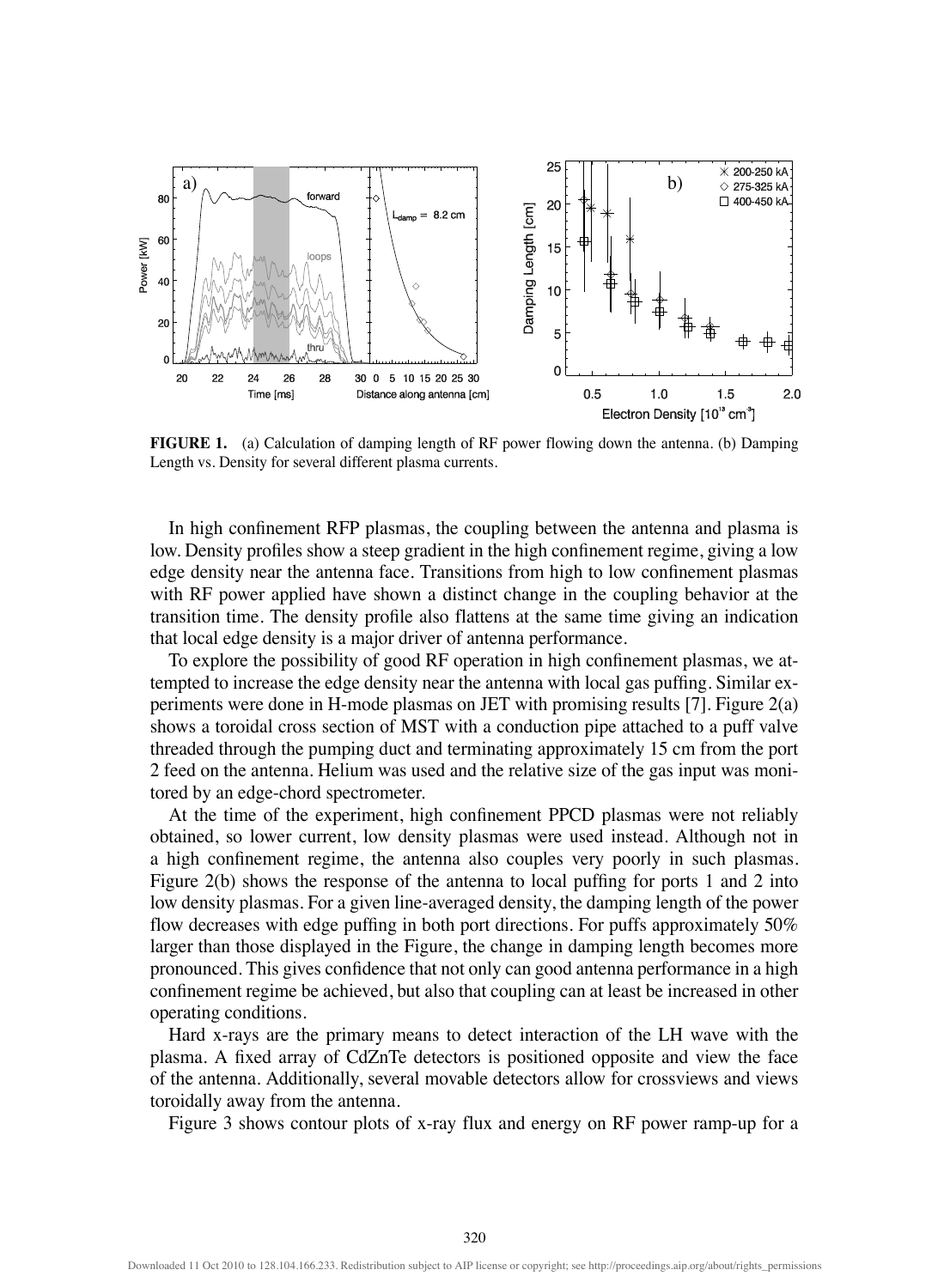

**FIGURE 1.** (a) Calculation of damping length of RF power flowing down the antenna. (b) Damping Length vs. Density for several different plasma currents.

In high confinement RFP plasmas, the coupling between the antenna and plasma is low. Density profiles show a steep gradient in the high confinement regime, giving a low edge density near the antenna face. Transitions from high to low confinement plasmas with RF power applied have shown a distinct change in the coupling behavior at the transition time. The density profile also flattens at the same time giving an indication that local edge density is a major driver of antenna performance.

To explore the possibility of good RF operation in high confinement plasmas, we attempted to increase the edge density near the antenna with local gas puffing. Similar experiments were done in H-mode plasmas on JET with promising results [7]. Figure 2(a) shows a toroidal cross section of MST with a conduction pipe attached to a puff valve threaded through the pumping duct and terminating approximately 15 cm from the port 2 feed on the antenna. Helium was used and the relative size of the gas input was monitored by an edge-chord spectrometer.

At the time of the experiment, high confinement PPCD plasmas were not reliably obtained, so lower current, low density plasmas were used instead. Although not in a high confinement regime, the antenna also couples very poorly in such plasmas. Figure 2(b) shows the response of the antenna to local puffing for ports 1 and 2 into low density plasmas. For a given line-averaged density, the damping length of the power flow decreases with edge puffing in both port directions. For puffs approximately 50% larger than those displayed in the Figure, the change in damping length becomes more pronounced. This gives confidence that not only can good antenna performance in a high confinement regime be achieved, but also that coupling can at least be increased in other operating conditions.

Hard x-rays are the primary means to detect interaction of the LH wave with the plasma. A fixed array of CdZnTe detectors is positioned opposite and view the face of the antenna. Additionally, several movable detectors allow for crossviews and views toroidally away from the antenna.

Figure 3 shows contour plots of x-ray flux and energy on RF power ramp-up for a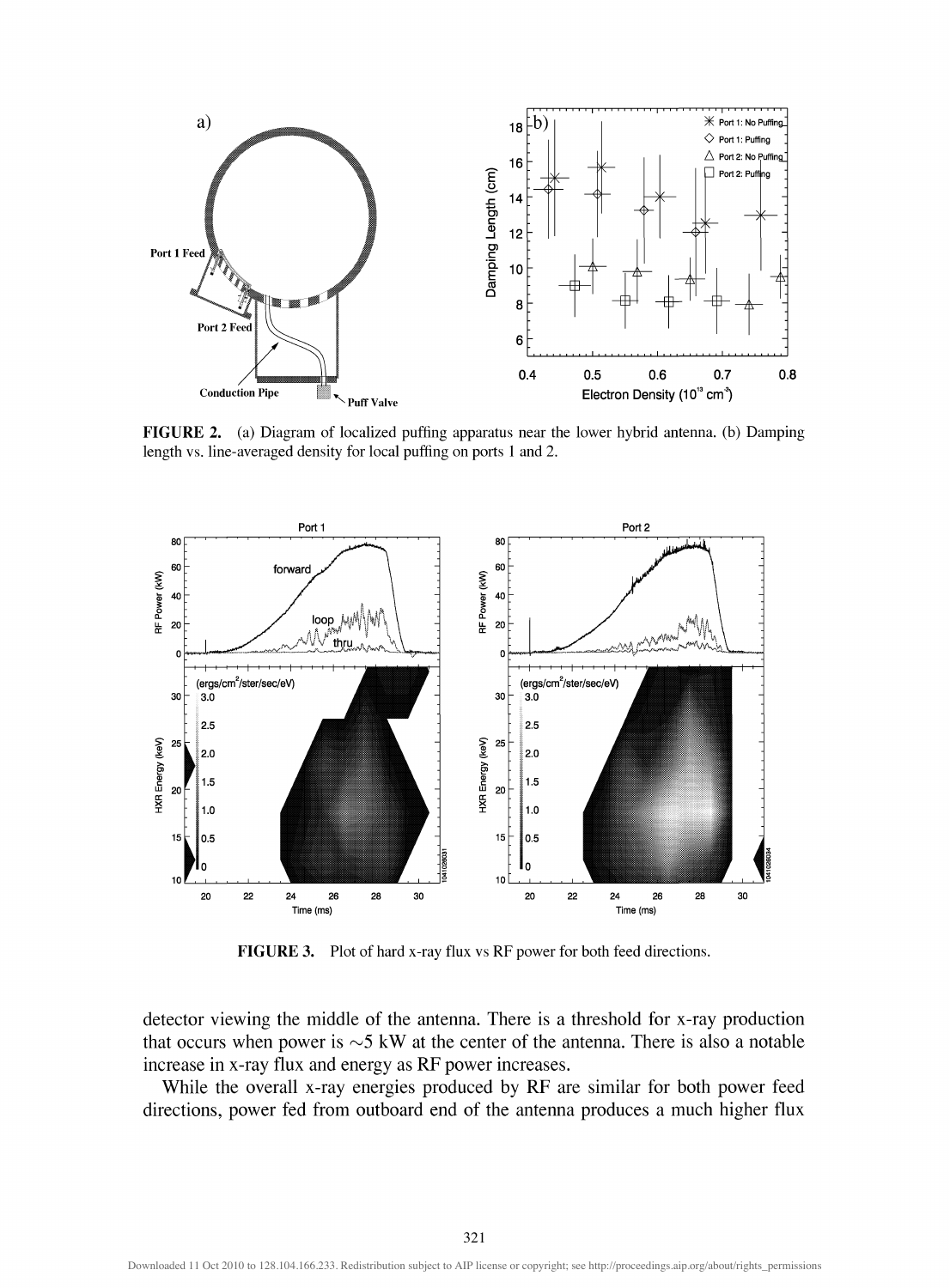

**FIGURE** 2. (a) Diagram of localized puffing apparatus near the lower hybrid antenna, (b) Damping length vs. line-averaged density for local puffing on ports 1 and 2.



**FIGURE 3.** Plot of hard x-ray flux vs RF power for both feed directions.

detector viewing the middle of the antenna. There is a threshold for x-ray production that occurs when power is  $\sim$  5 kW at the center of the antenna. There is also a notable increase in x-ray flux and energy as RF power increases.

While the overall x-ray energies produced by RF are similar for both power feed directions, power fed from outboard end of the antenna produces a much higher flux